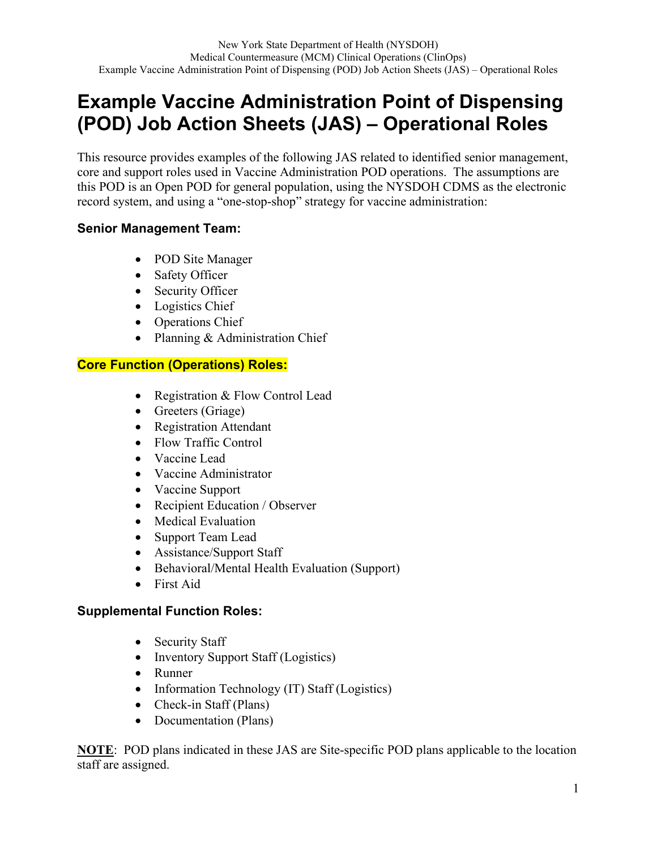# **Example Vaccine Administration Point of Dispensing (POD) Job Action Sheets (JAS) – Operational Roles**

This resource provides examples of the following JAS related to identified senior management, core and support roles used in Vaccine Administration POD operations. The assumptions are this POD is an Open POD for general population, using the NYSDOH CDMS as the electronic record system, and using a "one-stop-shop" strategy for vaccine administration:

### **Senior Management Team:**

- POD Site Manager
- Safety Officer
- Security Officer
- Logistics Chief
- Operations Chief
- Planning & Administration Chief

# **Core Function (Operations) Roles:**

- Registration & Flow Control Lead
- Greeters (Griage)
- Registration Attendant
- Flow Traffic Control
- Vaccine Lead
- Vaccine Administrator
- Vaccine Support
- Recipient Education / Observer
- Medical Evaluation
- Support Team Lead
- Assistance/Support Staff
- Behavioral/Mental Health Evaluation (Support)
- First Aid

## **Supplemental Function Roles:**

- Security Staff
- Inventory Support Staff (Logistics)
- Runner
- Information Technology (IT) Staff (Logistics)
- Check-in Staff (Plans)
- Documentation (Plans)

**NOTE**: POD plans indicated in these JAS are Site-specific POD plans applicable to the location staff are assigned.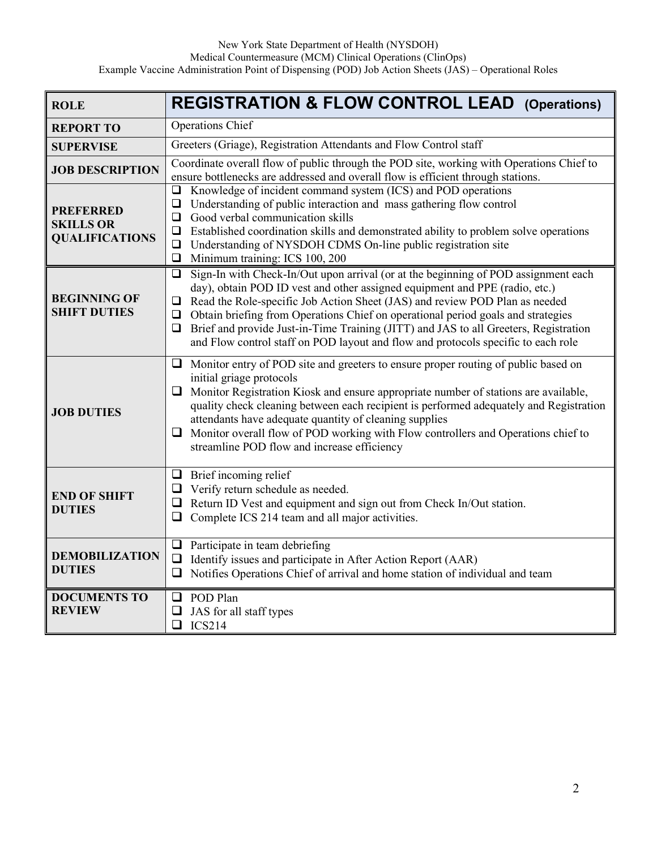| <b>ROLE</b>                                                   | <b>REGISTRATION &amp; FLOW CONTROL LEAD (Operations)</b>                                                                                                                                                                                                                                                                                                                                                                                                                                                                                          |  |
|---------------------------------------------------------------|---------------------------------------------------------------------------------------------------------------------------------------------------------------------------------------------------------------------------------------------------------------------------------------------------------------------------------------------------------------------------------------------------------------------------------------------------------------------------------------------------------------------------------------------------|--|
| <b>REPORT TO</b>                                              | Operations Chief                                                                                                                                                                                                                                                                                                                                                                                                                                                                                                                                  |  |
| <b>SUPERVISE</b>                                              | Greeters (Griage), Registration Attendants and Flow Control staff                                                                                                                                                                                                                                                                                                                                                                                                                                                                                 |  |
| <b>JOB DESCRIPTION</b>                                        | Coordinate overall flow of public through the POD site, working with Operations Chief to<br>ensure bottlenecks are addressed and overall flow is efficient through stations.                                                                                                                                                                                                                                                                                                                                                                      |  |
| <b>PREFERRED</b><br><b>SKILLS OR</b><br><b>QUALIFICATIONS</b> | Knowledge of incident command system (ICS) and POD operations<br>$\Box$<br>Understanding of public interaction and mass gathering flow control<br>$\Box$<br>Good verbal communication skills<br>$\Box$<br>Established coordination skills and demonstrated ability to problem solve operations<br>$\Box$<br>Understanding of NYSDOH CDMS On-line public registration site<br>$\Box$<br>Minimum training: ICS 100, 200<br>$\Box$                                                                                                                   |  |
| <b>BEGINNING OF</b><br><b>SHIFT DUTIES</b>                    | Sign-In with Check-In/Out upon arrival (or at the beginning of POD assignment each<br>❏<br>day), obtain POD ID vest and other assigned equipment and PPE (radio, etc.)<br>Read the Role-specific Job Action Sheet (JAS) and review POD Plan as needed<br>$\Box$<br>$\Box$ Obtain briefing from Operations Chief on operational period goals and strategies<br>Brief and provide Just-in-Time Training (JITT) and JAS to all Greeters, Registration<br>$\Box$<br>and Flow control staff on POD layout and flow and protocols specific to each role |  |
| <b>JOB DUTIES</b>                                             | Monitor entry of POD site and greeters to ensure proper routing of public based on<br>❏<br>initial griage protocols<br>Monitor Registration Kiosk and ensure appropriate number of stations are available,<br>$\Box$<br>quality check cleaning between each recipient is performed adequately and Registration<br>attendants have adequate quantity of cleaning supplies<br>Monitor overall flow of POD working with Flow controllers and Operations chief to<br>❏<br>streamline POD flow and increase efficiency                                 |  |
| <b>END OF SHIFT</b><br><b>DUTIES</b>                          | $\Box$ Brief incoming relief<br>$\Box$ Verify return schedule as needed.<br>$\Box$ Return ID Vest and equipment and sign out from Check In/Out station.<br>$\Box$<br>Complete ICS 214 team and all major activities.                                                                                                                                                                                                                                                                                                                              |  |
| <b>DEMOBILIZATION</b><br><b>DUTIES</b>                        | $\Box$ Participate in team debriefing<br>Identify issues and participate in After Action Report (AAR)<br>$\Box$<br>Notifies Operations Chief of arrival and home station of individual and team<br>❏                                                                                                                                                                                                                                                                                                                                              |  |
| <b>DOCUMENTS TO</b><br><b>REVIEW</b>                          | POD Plan<br>$\Box$<br>JAS for all staff types<br>$\Box$<br>$\Box$ ICS214                                                                                                                                                                                                                                                                                                                                                                                                                                                                          |  |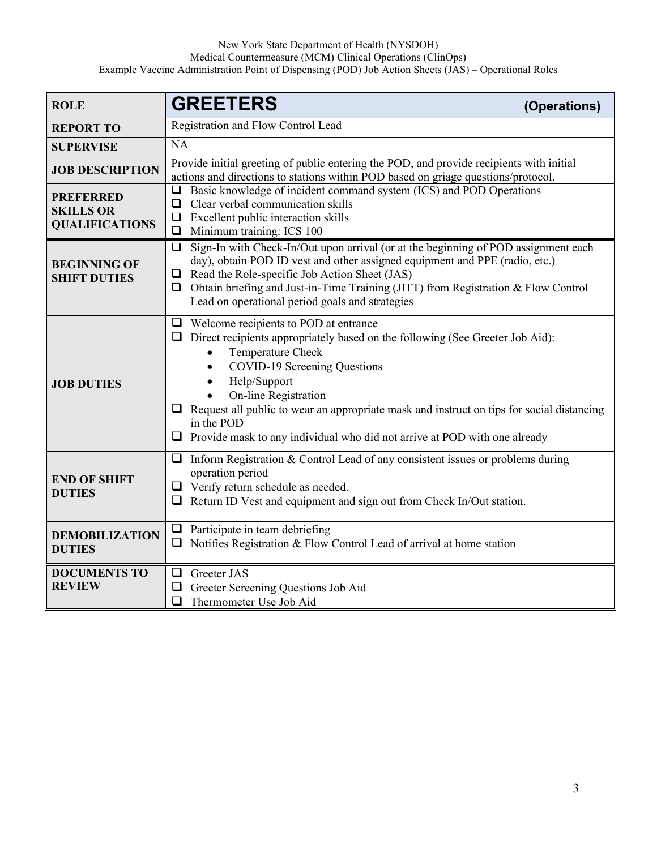| <b>ROLE</b>                                                   | <b>GREETERS</b><br>(Operations)                                                                                                                                                                                                                                                                                                                                                                                                                      |  |
|---------------------------------------------------------------|------------------------------------------------------------------------------------------------------------------------------------------------------------------------------------------------------------------------------------------------------------------------------------------------------------------------------------------------------------------------------------------------------------------------------------------------------|--|
| <b>REPORT TO</b>                                              | Registration and Flow Control Lead                                                                                                                                                                                                                                                                                                                                                                                                                   |  |
| <b>SUPERVISE</b>                                              | <b>NA</b>                                                                                                                                                                                                                                                                                                                                                                                                                                            |  |
| <b>JOB DESCRIPTION</b>                                        | Provide initial greeting of public entering the POD, and provide recipients with initial<br>actions and directions to stations within POD based on griage questions/protocol.                                                                                                                                                                                                                                                                        |  |
| <b>PREFERRED</b><br><b>SKILLS OR</b><br><b>QUALIFICATIONS</b> | Basic knowledge of incident command system (ICS) and POD Operations<br>⊔<br>Clear verbal communication skills<br>$\Box$<br>Excellent public interaction skills<br>⊔<br>Minimum training: ICS 100<br>$\Box$                                                                                                                                                                                                                                           |  |
| <b>BEGINNING OF</b><br><b>SHIFT DUTIES</b>                    | $\Box$ Sign-In with Check-In/Out upon arrival (or at the beginning of POD assignment each<br>day), obtain POD ID vest and other assigned equipment and PPE (radio, etc.)<br>$\Box$ Read the Role-specific Job Action Sheet (JAS)<br>$\Box$ Obtain briefing and Just-in-Time Training (JITT) from Registration & Flow Control<br>Lead on operational period goals and strategies                                                                      |  |
| <b>JOB DUTIES</b>                                             | $\Box$ Welcome recipients to POD at entrance<br>$\Box$ Direct recipients appropriately based on the following (See Greeter Job Aid):<br>Temperature Check<br>COVID-19 Screening Questions<br>$\bullet$<br>Help/Support<br>On-line Registration<br>$\Box$ Request all public to wear an appropriate mask and instruct on tips for social distancing<br>in the POD<br>$\Box$ Provide mask to any individual who did not arrive at POD with one already |  |
| <b>END OF SHIFT</b><br><b>DUTIES</b>                          | Inform Registration & Control Lead of any consistent issues or problems during<br>⊔<br>operation period<br>$\Box$ Verify return schedule as needed.<br>$\Box$ Return ID Vest and equipment and sign out from Check In/Out station.                                                                                                                                                                                                                   |  |
| <b>DEMOBILIZATION</b><br><b>DUTIES</b>                        | Participate in team debriefing<br>$\Box$<br>Notifies Registration & Flow Control Lead of arrival at home station<br>❏                                                                                                                                                                                                                                                                                                                                |  |
| <b>DOCUMENTS TO</b><br><b>REVIEW</b>                          | Greeter JAS<br>❏<br>Greeter Screening Questions Job Aid<br>❏<br>Thermometer Use Job Aid<br>❏                                                                                                                                                                                                                                                                                                                                                         |  |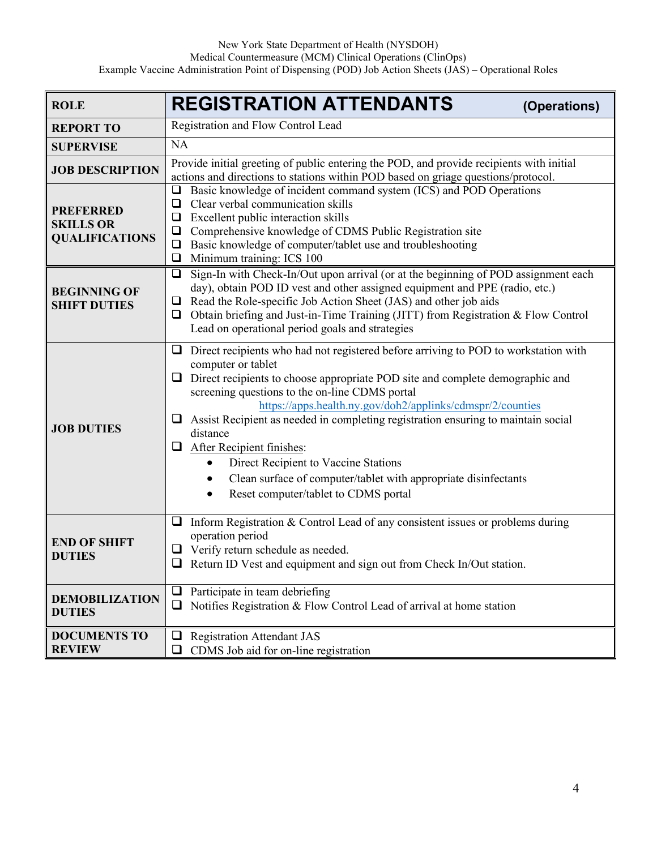| <b>ROLE</b>                                                   | <b>REGISTRATION ATTENDANTS</b><br>(Operations)                                                                                                                                                                                                                                                                                                                                                                                                                                                                                                                                                                               |  |
|---------------------------------------------------------------|------------------------------------------------------------------------------------------------------------------------------------------------------------------------------------------------------------------------------------------------------------------------------------------------------------------------------------------------------------------------------------------------------------------------------------------------------------------------------------------------------------------------------------------------------------------------------------------------------------------------------|--|
| <b>REPORT TO</b>                                              | Registration and Flow Control Lead                                                                                                                                                                                                                                                                                                                                                                                                                                                                                                                                                                                           |  |
| <b>SUPERVISE</b>                                              | <b>NA</b>                                                                                                                                                                                                                                                                                                                                                                                                                                                                                                                                                                                                                    |  |
| <b>JOB DESCRIPTION</b>                                        | Provide initial greeting of public entering the POD, and provide recipients with initial<br>actions and directions to stations within POD based on griage questions/protocol.                                                                                                                                                                                                                                                                                                                                                                                                                                                |  |
| <b>PREFERRED</b><br><b>SKILLS OR</b><br><b>QUALIFICATIONS</b> | Basic knowledge of incident command system (ICS) and POD Operations<br>$\Box$<br>Clear verbal communication skills<br>❏<br>Excellent public interaction skills<br>$\Box$<br>Comprehensive knowledge of CDMS Public Registration site<br>$\Box$<br>Basic knowledge of computer/tablet use and troubleshooting<br>$\Box$<br>Minimum training: ICS 100<br>$\Box$                                                                                                                                                                                                                                                                |  |
| <b>BEGINNING OF</b><br><b>SHIFT DUTIES</b>                    | Sign-In with Check-In/Out upon arrival (or at the beginning of POD assignment each<br>$\Box$<br>day), obtain POD ID vest and other assigned equipment and PPE (radio, etc.)<br>Read the Role-specific Job Action Sheet (JAS) and other job aids<br>⊔<br>Obtain briefing and Just-in-Time Training (JITT) from Registration & Flow Control<br>$\Box$<br>Lead on operational period goals and strategies                                                                                                                                                                                                                       |  |
| <b>JOB DUTIES</b>                                             | Direct recipients who had not registered before arriving to POD to workstation with<br>⊔<br>computer or tablet<br>Direct recipients to choose appropriate POD site and complete demographic and<br>screening questions to the on-line CDMS portal<br>https://apps.health.ny.gov/doh2/applinks/cdmspr/2/counties<br>Assist Recipient as needed in completing registration ensuring to maintain social<br>⊔<br>distance<br>After Recipient finishes:<br>$\Box$<br>Direct Recipient to Vaccine Stations<br>Clean surface of computer/tablet with appropriate disinfectants<br>$\bullet$<br>Reset computer/tablet to CDMS portal |  |
| <b>END OF SHIFT</b><br><b>DUTIES</b>                          | Inform Registration & Control Lead of any consistent issues or problems during<br>⊔<br>operation period<br>$\Box$ Verify return schedule as needed.<br>Return ID Vest and equipment and sign out from Check In/Out station.                                                                                                                                                                                                                                                                                                                                                                                                  |  |
| <b>DEMOBILIZATION</b><br><b>DUTIES</b>                        | Participate in team debriefing<br>Notifies Registration & Flow Control Lead of arrival at home station<br>⊔                                                                                                                                                                                                                                                                                                                                                                                                                                                                                                                  |  |
| <b>DOCUMENTS TO</b><br><b>REVIEW</b>                          | <b>Registration Attendant JAS</b><br>ப<br>CDMS Job aid for on-line registration                                                                                                                                                                                                                                                                                                                                                                                                                                                                                                                                              |  |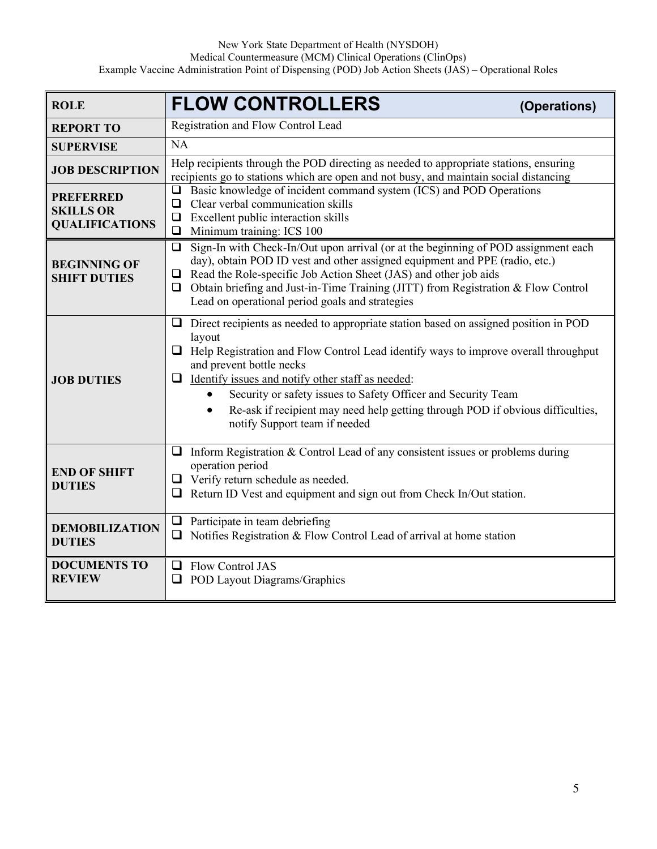| <b>ROLE</b>                                                   | <b>FLOW CONTROLLERS</b><br>(Operations)                                                                                                                                                                                                                                                                                                                                                                                                                                                      |  |
|---------------------------------------------------------------|----------------------------------------------------------------------------------------------------------------------------------------------------------------------------------------------------------------------------------------------------------------------------------------------------------------------------------------------------------------------------------------------------------------------------------------------------------------------------------------------|--|
| <b>REPORT TO</b>                                              | Registration and Flow Control Lead                                                                                                                                                                                                                                                                                                                                                                                                                                                           |  |
| <b>SUPERVISE</b>                                              | NA                                                                                                                                                                                                                                                                                                                                                                                                                                                                                           |  |
| <b>JOB DESCRIPTION</b>                                        | Help recipients through the POD directing as needed to appropriate stations, ensuring<br>recipients go to stations which are open and not busy, and maintain social distancing                                                                                                                                                                                                                                                                                                               |  |
| <b>PREFERRED</b><br><b>SKILLS OR</b><br><b>QUALIFICATIONS</b> | $\Box$ Basic knowledge of incident command system (ICS) and POD Operations<br>Clear verbal communication skills<br>$\Box$<br>$\Box$ Excellent public interaction skills<br>$\Box$ Minimum training: ICS 100                                                                                                                                                                                                                                                                                  |  |
| <b>BEGINNING OF</b><br><b>SHIFT DUTIES</b>                    | Sign-In with Check-In/Out upon arrival (or at the beginning of POD assignment each<br>$\Box$<br>day), obtain POD ID vest and other assigned equipment and PPE (radio, etc.)<br>Read the Role-specific Job Action Sheet (JAS) and other job aids<br>⊔<br>$\Box$ Obtain briefing and Just-in-Time Training (JITT) from Registration & Flow Control<br>Lead on operational period goals and strategies                                                                                          |  |
| <b>JOB DUTIES</b>                                             | $\Box$ Direct recipients as needed to appropriate station based on assigned position in POD<br>layout<br>$\Box$ Help Registration and Flow Control Lead identify ways to improve overall throughput<br>and prevent bottle necks<br>$\Box$ Identify issues and notify other staff as needed:<br>Security or safety issues to Safety Officer and Security Team<br>Re-ask if recipient may need help getting through POD if obvious difficulties,<br>$\bullet$<br>notify Support team if needed |  |
| <b>END OF SHIFT</b><br><b>DUTIES</b>                          | Inform Registration & Control Lead of any consistent issues or problems during<br>❏<br>operation period<br>$\Box$ Verify return schedule as needed.<br>Return ID Vest and equipment and sign out from Check In/Out station.                                                                                                                                                                                                                                                                  |  |
| <b>DEMOBILIZATION</b><br><b>DUTIES</b>                        | $\Box$ Participate in team debriefing<br>Notifies Registration & Flow Control Lead of arrival at home station<br>$\Box$                                                                                                                                                                                                                                                                                                                                                                      |  |
| <b>DOCUMENTS TO</b><br><b>REVIEW</b>                          | Flow Control JAS<br>⊔<br><b>POD Layout Diagrams/Graphics</b>                                                                                                                                                                                                                                                                                                                                                                                                                                 |  |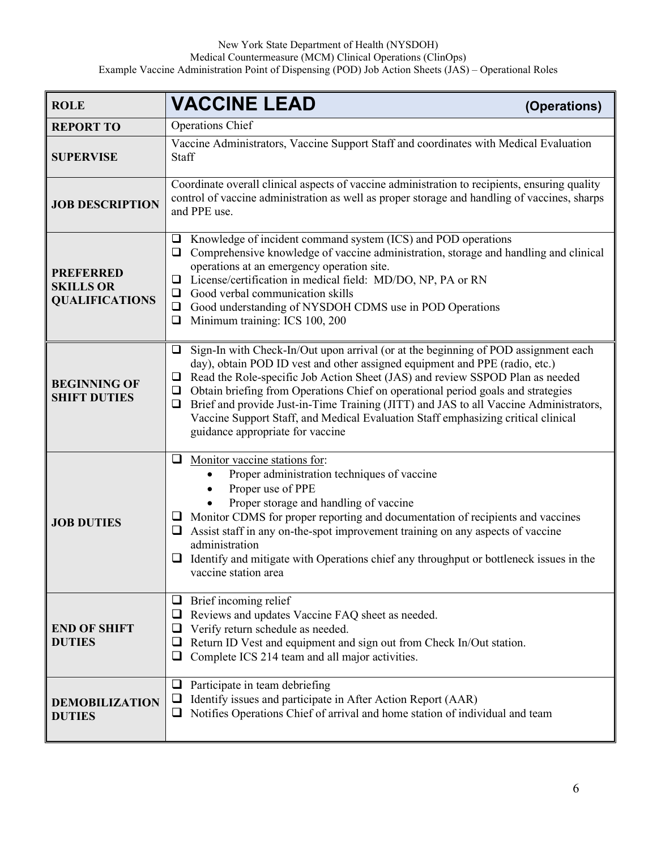| <b>ROLE</b>                                                   | <b>VACCINE LEAD</b><br>(Operations)                                                                                                                                                                                                                                                                                                                                                                                                                                                                                                                                                    |  |
|---------------------------------------------------------------|----------------------------------------------------------------------------------------------------------------------------------------------------------------------------------------------------------------------------------------------------------------------------------------------------------------------------------------------------------------------------------------------------------------------------------------------------------------------------------------------------------------------------------------------------------------------------------------|--|
| <b>REPORT TO</b>                                              | <b>Operations Chief</b>                                                                                                                                                                                                                                                                                                                                                                                                                                                                                                                                                                |  |
| <b>SUPERVISE</b>                                              | Vaccine Administrators, Vaccine Support Staff and coordinates with Medical Evaluation<br>Staff                                                                                                                                                                                                                                                                                                                                                                                                                                                                                         |  |
| <b>JOB DESCRIPTION</b>                                        | Coordinate overall clinical aspects of vaccine administration to recipients, ensuring quality<br>control of vaccine administration as well as proper storage and handling of vaccines, sharps<br>and PPE use.                                                                                                                                                                                                                                                                                                                                                                          |  |
| <b>PREFERRED</b><br><b>SKILLS OR</b><br><b>QUALIFICATIONS</b> | Knowledge of incident command system (ICS) and POD operations<br>⊔<br>Comprehensive knowledge of vaccine administration, storage and handling and clinical<br>❏<br>operations at an emergency operation site.<br>License/certification in medical field: MD/DO, NP, PA or RN<br>❏<br>$\Box$ Good verbal communication skills<br>Good understanding of NYSDOH CDMS use in POD Operations<br>$\Box$<br>Minimum training: ICS 100, 200<br>$\Box$                                                                                                                                          |  |
| <b>BEGINNING OF</b><br><b>SHIFT DUTIES</b>                    | Sign-In with Check-In/Out upon arrival (or at the beginning of POD assignment each<br>❏<br>day), obtain POD ID vest and other assigned equipment and PPE (radio, etc.)<br>Read the Role-specific Job Action Sheet (JAS) and review SSPOD Plan as needed<br>$\Box$<br>Obtain briefing from Operations Chief on operational period goals and strategies<br>$\Box$<br>Brief and provide Just-in-Time Training (JITT) and JAS to all Vaccine Administrators,<br>❏<br>Vaccine Support Staff, and Medical Evaluation Staff emphasizing critical clinical<br>guidance appropriate for vaccine |  |
| <b>JOB DUTIES</b>                                             | $\Box$ Monitor vaccine stations for:<br>Proper administration techniques of vaccine<br>Proper use of PPE<br>Proper storage and handling of vaccine<br>$\Box$ Monitor CDMS for proper reporting and documentation of recipients and vaccines<br>Assist staff in any on-the-spot improvement training on any aspects of vaccine<br>⊔<br>administration<br>$\Box$ Identify and mitigate with Operations chief any throughput or bottleneck issues in the<br>vaccine station area                                                                                                          |  |
| <b>END OF SHIFT</b><br><b>DUTIES</b>                          | Brief incoming relief<br>⊔<br>Reviews and updates Vaccine FAQ sheet as needed.<br>$\Box$<br>Verify return schedule as needed.<br>⊔<br>Return ID Vest and equipment and sign out from Check In/Out station.<br>$\Box$<br>Complete ICS 214 team and all major activities.                                                                                                                                                                                                                                                                                                                |  |
| <b>DEMOBILIZATION</b><br><b>DUTIES</b>                        | Participate in team debriefing<br>⊔<br>Identify issues and participate in After Action Report (AAR)<br>⊔<br>Notifies Operations Chief of arrival and home station of individual and team<br>⊔                                                                                                                                                                                                                                                                                                                                                                                          |  |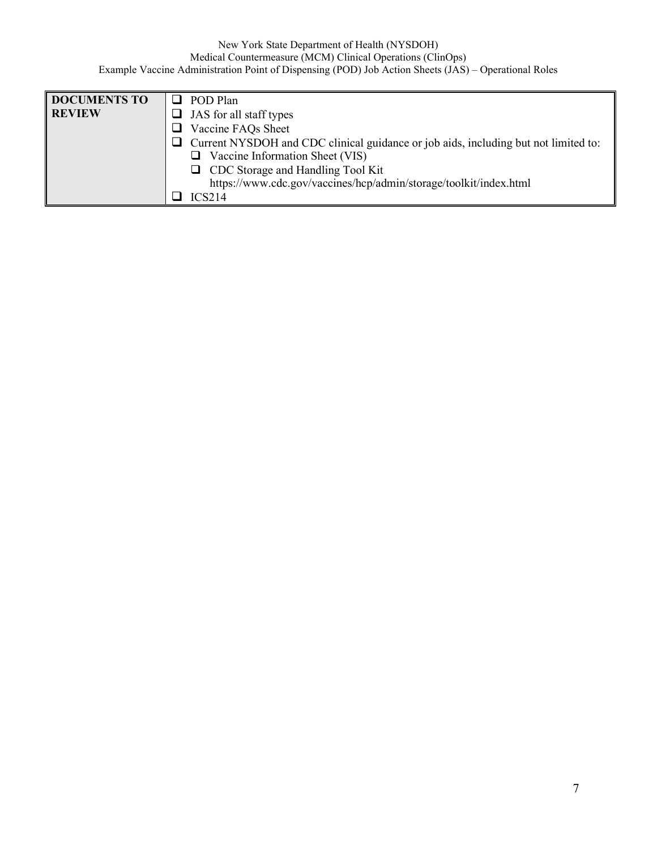| <b>DOCUMENTS TO</b> | $\Box$ POD Plan                                                                            |
|---------------------|--------------------------------------------------------------------------------------------|
| <b>REVIEW</b>       | $\Box$ JAS for all staff types                                                             |
|                     | $\Box$ Vaccine FAQs Sheet                                                                  |
|                     | $\Box$ Current NYSDOH and CDC clinical guidance or job aids, including but not limited to: |
|                     | $\Box$ Vaccine Information Sheet (VIS)                                                     |
|                     | □ CDC Storage and Handling Tool Kit                                                        |
|                     | https://www.cdc.gov/vaccines/hcp/admin/storage/toolkit/index.html                          |
|                     | ICS214                                                                                     |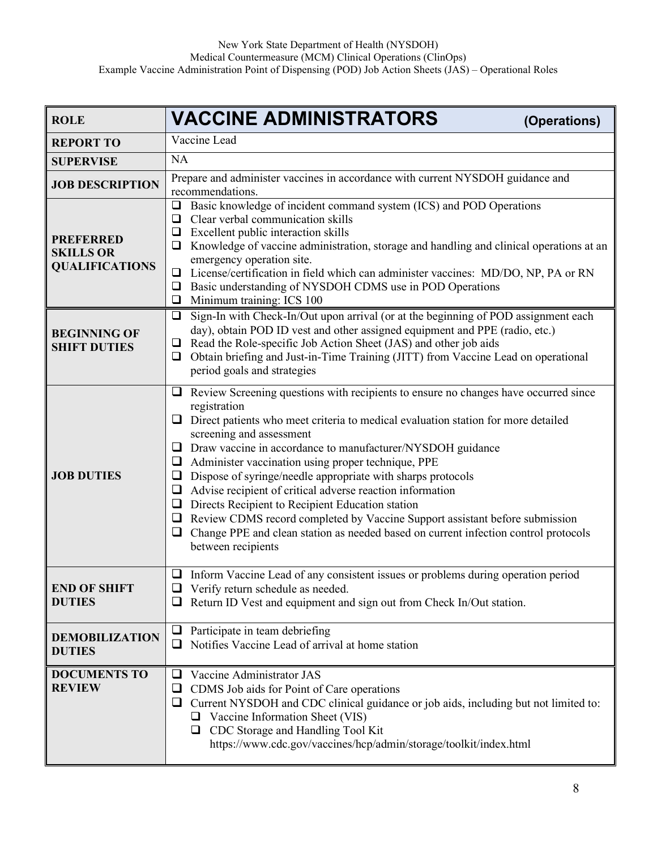| <b>ROLE</b>                                                   | <b>VACCINE ADMINISTRATORS</b><br>(Operations)                                                                                                                                                                                                                                                                                                                                                                                                                                                                                                                                                                                                                                                                                                                                 |  |
|---------------------------------------------------------------|-------------------------------------------------------------------------------------------------------------------------------------------------------------------------------------------------------------------------------------------------------------------------------------------------------------------------------------------------------------------------------------------------------------------------------------------------------------------------------------------------------------------------------------------------------------------------------------------------------------------------------------------------------------------------------------------------------------------------------------------------------------------------------|--|
| <b>REPORT TO</b>                                              | Vaccine Lead                                                                                                                                                                                                                                                                                                                                                                                                                                                                                                                                                                                                                                                                                                                                                                  |  |
| <b>SUPERVISE</b>                                              | <b>NA</b>                                                                                                                                                                                                                                                                                                                                                                                                                                                                                                                                                                                                                                                                                                                                                                     |  |
| <b>JOB DESCRIPTION</b>                                        | Prepare and administer vaccines in accordance with current NYSDOH guidance and<br>recommendations.                                                                                                                                                                                                                                                                                                                                                                                                                                                                                                                                                                                                                                                                            |  |
| <b>PREFERRED</b><br><b>SKILLS OR</b><br><b>QUALIFICATIONS</b> | Basic knowledge of incident command system (ICS) and POD Operations<br>$\Box$<br>Clear verbal communication skills<br>$\Box$<br>Excellent public interaction skills<br>$\Box$<br>Knowledge of vaccine administration, storage and handling and clinical operations at an<br>⊔<br>emergency operation site.<br>License/certification in field which can administer vaccines: MD/DO, NP, PA or RN<br>□<br>Basic understanding of NYSDOH CDMS use in POD Operations<br>❏<br>Minimum training: ICS 100<br>❏                                                                                                                                                                                                                                                                       |  |
| <b>BEGINNING OF</b><br><b>SHIFT DUTIES</b>                    | Sign-In with Check-In/Out upon arrival (or at the beginning of POD assignment each<br>$\Box$<br>day), obtain POD ID vest and other assigned equipment and PPE (radio, etc.)<br>Read the Role-specific Job Action Sheet (JAS) and other job aids<br>⊔<br>Obtain briefing and Just-in-Time Training (JITT) from Vaccine Lead on operational<br>□<br>period goals and strategies                                                                                                                                                                                                                                                                                                                                                                                                 |  |
| <b>JOB DUTIES</b>                                             | Review Screening questions with recipients to ensure no changes have occurred since<br>⊔<br>registration<br>Direct patients who meet criteria to medical evaluation station for more detailed<br>⊔<br>screening and assessment<br>Draw vaccine in accordance to manufacturer/NYSDOH guidance<br>⊔<br>Administer vaccination using proper technique, PPE<br>$\Box$<br>$\Box$ Dispose of syringe/needle appropriate with sharps protocols<br>Advise recipient of critical adverse reaction information<br>❏<br>Directs Recipient to Recipient Education station<br>⊔<br>Review CDMS record completed by Vaccine Support assistant before submission<br>❏<br>Change PPE and clean station as needed based on current infection control protocols<br>$\Box$<br>between recipients |  |
| <b>END OF SHIFT</b><br><b>DUTIES</b>                          | Inform Vaccine Lead of any consistent issues or problems during operation period<br>$\Box$<br>Verify return schedule as needed.<br>Return ID Vest and equipment and sign out from Check In/Out station.                                                                                                                                                                                                                                                                                                                                                                                                                                                                                                                                                                       |  |
| <b>DEMOBILIZATION</b><br><b>DUTIES</b>                        | Participate in team debriefing<br>$\Box$<br>Notifies Vaccine Lead of arrival at home station<br>ப                                                                                                                                                                                                                                                                                                                                                                                                                                                                                                                                                                                                                                                                             |  |
| <b>DOCUMENTS TO</b><br><b>REVIEW</b>                          | Vaccine Administrator JAS<br>ப<br>CDMS Job aids for Point of Care operations<br>$\Box$<br>Current NYSDOH and CDC clinical guidance or job aids, including but not limited to:<br>⊔<br>Vaccine Information Sheet (VIS)<br>□ CDC Storage and Handling Tool Kit<br>https://www.cdc.gov/vaccines/hcp/admin/storage/toolkit/index.html                                                                                                                                                                                                                                                                                                                                                                                                                                             |  |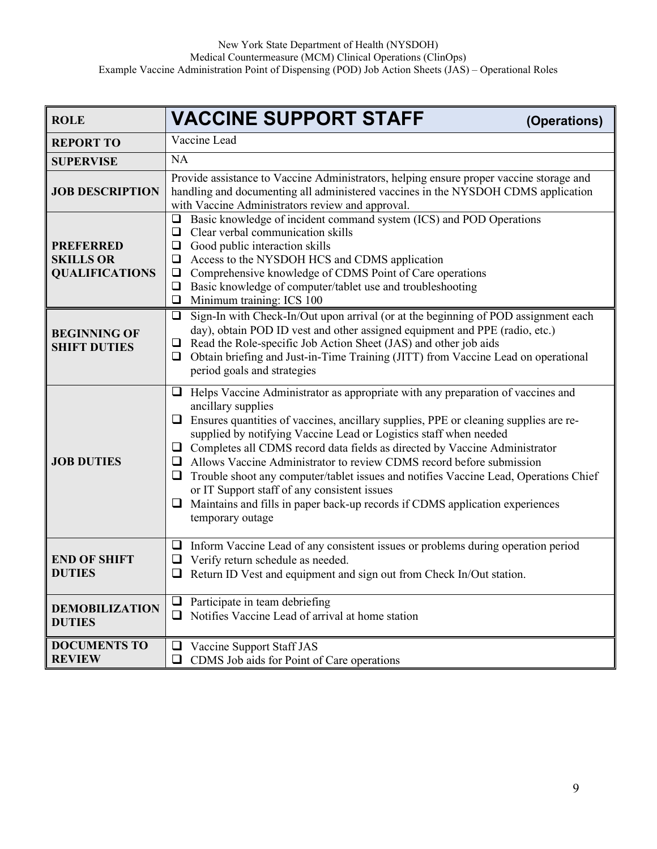| <b>ROLE</b>                                                   | <b>VACCINE SUPPORT STAFF</b><br>(Operations)                                                                                                                                                                                                                                                                                                                                                                                                                                                                                                                                                                                                                                                         |  |
|---------------------------------------------------------------|------------------------------------------------------------------------------------------------------------------------------------------------------------------------------------------------------------------------------------------------------------------------------------------------------------------------------------------------------------------------------------------------------------------------------------------------------------------------------------------------------------------------------------------------------------------------------------------------------------------------------------------------------------------------------------------------------|--|
| <b>REPORT TO</b>                                              | Vaccine Lead                                                                                                                                                                                                                                                                                                                                                                                                                                                                                                                                                                                                                                                                                         |  |
| <b>SUPERVISE</b>                                              | NA                                                                                                                                                                                                                                                                                                                                                                                                                                                                                                                                                                                                                                                                                                   |  |
| <b>JOB DESCRIPTION</b>                                        | Provide assistance to Vaccine Administrators, helping ensure proper vaccine storage and<br>handling and documenting all administered vaccines in the NYSDOH CDMS application<br>with Vaccine Administrators review and approval.                                                                                                                                                                                                                                                                                                                                                                                                                                                                     |  |
| <b>PREFERRED</b><br><b>SKILLS OR</b><br><b>QUALIFICATIONS</b> | Basic knowledge of incident command system (ICS) and POD Operations<br>$\Box$<br>Clear verbal communication skills<br>❏<br>Good public interaction skills<br>$\Box$<br>Access to the NYSDOH HCS and CDMS application<br>⊔<br>Comprehensive knowledge of CDMS Point of Care operations<br>□<br>Basic knowledge of computer/tablet use and troubleshooting<br>□<br>Minimum training: ICS 100<br>$\Box$                                                                                                                                                                                                                                                                                                 |  |
| <b>BEGINNING OF</b><br><b>SHIFT DUTIES</b>                    | Sign-In with Check-In/Out upon arrival (or at the beginning of POD assignment each<br>$\Box$<br>day), obtain POD ID vest and other assigned equipment and PPE (radio, etc.)<br>Read the Role-specific Job Action Sheet (JAS) and other job aids<br>❏<br>Obtain briefing and Just-in-Time Training (JITT) from Vaccine Lead on operational<br>❏<br>period goals and strategies                                                                                                                                                                                                                                                                                                                        |  |
| <b>JOB DUTIES</b>                                             | Helps Vaccine Administrator as appropriate with any preparation of vaccines and<br>⊔<br>ancillary supplies<br>Ensures quantities of vaccines, ancillary supplies, PPE or cleaning supplies are re-<br>⊔<br>supplied by notifying Vaccine Lead or Logistics staff when needed<br>$\Box$ Completes all CDMS record data fields as directed by Vaccine Administrator<br>Allows Vaccine Administrator to review CDMS record before submission<br>❏<br>Trouble shoot any computer/tablet issues and notifies Vaccine Lead, Operations Chief<br>❏<br>or IT Support staff of any consistent issues<br>Maintains and fills in paper back-up records if CDMS application experiences<br>⊔<br>temporary outage |  |
| <b>END OF SHIFT</b><br><b>DUTIES</b>                          | Inform Vaccine Lead of any consistent issues or problems during operation period<br>⊔<br>Verify return schedule as needed.<br>⊔<br>Return ID Vest and equipment and sign out from Check In/Out station.                                                                                                                                                                                                                                                                                                                                                                                                                                                                                              |  |
| <b>DEMOBILIZATION</b><br><b>DUTIES</b>                        | Participate in team debriefing<br>❏<br>Notifies Vaccine Lead of arrival at home station<br>❏                                                                                                                                                                                                                                                                                                                                                                                                                                                                                                                                                                                                         |  |
| <b>DOCUMENTS TO</b><br><b>REVIEW</b>                          | Vaccine Support Staff JAS<br>ப<br>CDMS Job aids for Point of Care operations<br>❏                                                                                                                                                                                                                                                                                                                                                                                                                                                                                                                                                                                                                    |  |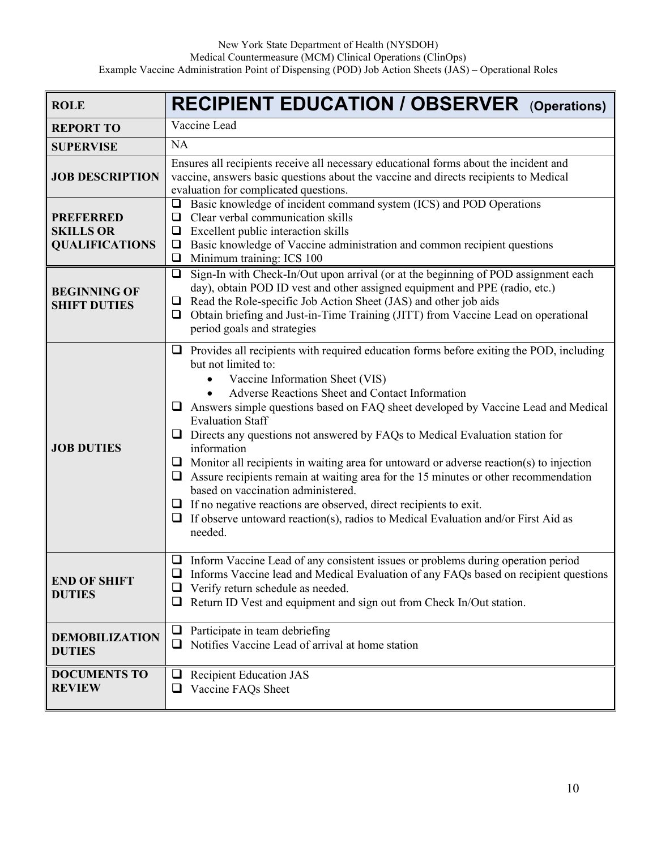| <b>ROLE</b>                                                   | <b>RECIPIENT EDUCATION / OBSERVER</b> (Operations)                                                                                                                                                                                                                                                                                                                                                                                                                                                                                                                                                                                                                                                                                                                                                                                                               |  |
|---------------------------------------------------------------|------------------------------------------------------------------------------------------------------------------------------------------------------------------------------------------------------------------------------------------------------------------------------------------------------------------------------------------------------------------------------------------------------------------------------------------------------------------------------------------------------------------------------------------------------------------------------------------------------------------------------------------------------------------------------------------------------------------------------------------------------------------------------------------------------------------------------------------------------------------|--|
| <b>REPORT TO</b>                                              | Vaccine Lead                                                                                                                                                                                                                                                                                                                                                                                                                                                                                                                                                                                                                                                                                                                                                                                                                                                     |  |
| <b>SUPERVISE</b>                                              | <b>NA</b>                                                                                                                                                                                                                                                                                                                                                                                                                                                                                                                                                                                                                                                                                                                                                                                                                                                        |  |
| <b>JOB DESCRIPTION</b>                                        | Ensures all recipients receive all necessary educational forms about the incident and<br>vaccine, answers basic questions about the vaccine and directs recipients to Medical<br>evaluation for complicated questions.                                                                                                                                                                                                                                                                                                                                                                                                                                                                                                                                                                                                                                           |  |
| <b>PREFERRED</b><br><b>SKILLS OR</b><br><b>QUALIFICATIONS</b> | Basic knowledge of incident command system (ICS) and POD Operations<br>$\Box$<br>Clear verbal communication skills<br>$\Box$<br>Excellent public interaction skills<br>$\Box$<br>Basic knowledge of Vaccine administration and common recipient questions<br>$\Box$<br>Minimum training: ICS 100<br>$\Box$                                                                                                                                                                                                                                                                                                                                                                                                                                                                                                                                                       |  |
| <b>BEGINNING OF</b><br><b>SHIFT DUTIES</b>                    | Sign-In with Check-In/Out upon arrival (or at the beginning of POD assignment each<br>$\Box$<br>day), obtain POD ID vest and other assigned equipment and PPE (radio, etc.)<br>Read the Role-specific Job Action Sheet (JAS) and other job aids<br>$\Box$<br>Obtain briefing and Just-in-Time Training (JITT) from Vaccine Lead on operational<br>❏<br>period goals and strategies                                                                                                                                                                                                                                                                                                                                                                                                                                                                               |  |
| <b>JOB DUTIES</b>                                             | $\Box$ Provides all recipients with required education forms before exiting the POD, including<br>but not limited to:<br>Vaccine Information Sheet (VIS)<br>Adverse Reactions Sheet and Contact Information<br>$\Box$ Answers simple questions based on FAQ sheet developed by Vaccine Lead and Medical<br><b>Evaluation Staff</b><br>$\Box$ Directs any questions not answered by FAQs to Medical Evaluation station for<br>information<br>$\Box$ Monitor all recipients in waiting area for untoward or adverse reaction(s) to injection<br>$\Box$ Assure recipients remain at waiting area for the 15 minutes or other recommendation<br>based on vaccination administered.<br>$\Box$ If no negative reactions are observed, direct recipients to exit.<br>If observe untoward reaction(s), radios to Medical Evaluation and/or First Aid as<br>u.<br>needed. |  |
| <b>END OF SHIFT</b><br><b>DUTIES</b>                          | $\Box$ Inform Vaccine Lead of any consistent issues or problems during operation period<br>Informs Vaccine lead and Medical Evaluation of any FAQs based on recipient questions<br>Verify return schedule as needed.<br>⊔<br>Return ID Vest and equipment and sign out from Check In/Out station.<br>⊔                                                                                                                                                                                                                                                                                                                                                                                                                                                                                                                                                           |  |
| <b>DEMOBILIZATION</b><br><b>DUTIES</b>                        | Participate in team debriefing<br>$\Box$<br>Notifies Vaccine Lead of arrival at home station<br>⊔                                                                                                                                                                                                                                                                                                                                                                                                                                                                                                                                                                                                                                                                                                                                                                |  |
| <b>DOCUMENTS TO</b><br><b>REVIEW</b>                          | <b>Recipient Education JAS</b><br>$\Box$<br>Vaccine FAQs Sheet<br>$\Box$                                                                                                                                                                                                                                                                                                                                                                                                                                                                                                                                                                                                                                                                                                                                                                                         |  |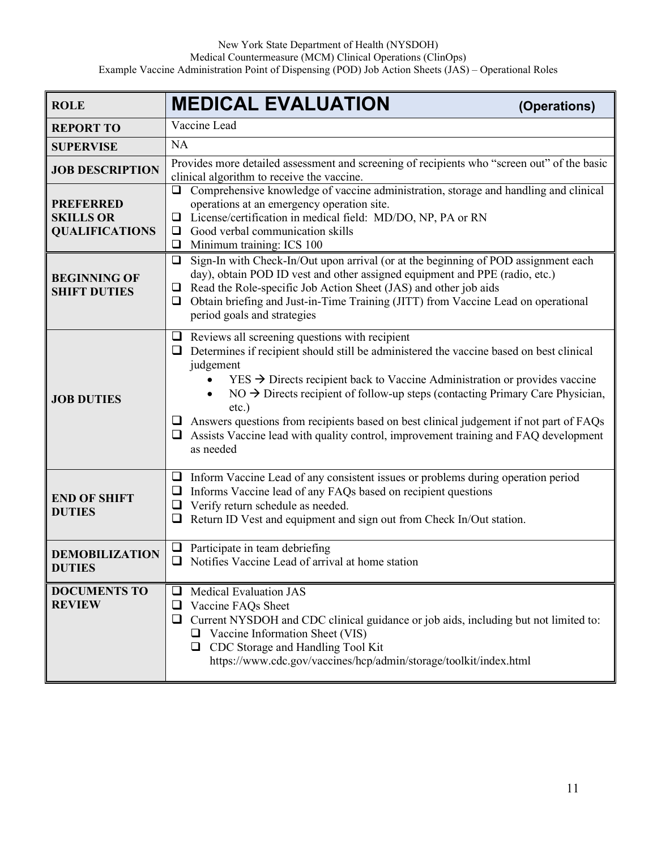| <b>ROLE</b>                                                   | <b>MEDICAL EVALUATION</b><br>(Operations)                                                                                                                                                                                                                                                                                                                                                                                                                                                                                                                             |  |
|---------------------------------------------------------------|-----------------------------------------------------------------------------------------------------------------------------------------------------------------------------------------------------------------------------------------------------------------------------------------------------------------------------------------------------------------------------------------------------------------------------------------------------------------------------------------------------------------------------------------------------------------------|--|
| <b>REPORT TO</b>                                              | Vaccine Lead                                                                                                                                                                                                                                                                                                                                                                                                                                                                                                                                                          |  |
| <b>SUPERVISE</b>                                              | <b>NA</b>                                                                                                                                                                                                                                                                                                                                                                                                                                                                                                                                                             |  |
| <b>JOB DESCRIPTION</b>                                        | Provides more detailed assessment and screening of recipients who "screen out" of the basic<br>clinical algorithm to receive the vaccine.                                                                                                                                                                                                                                                                                                                                                                                                                             |  |
| <b>PREFERRED</b><br><b>SKILLS OR</b><br><b>QUALIFICATIONS</b> | □ Comprehensive knowledge of vaccine administration, storage and handling and clinical<br>operations at an emergency operation site.<br>License/certification in medical field: MD/DO, NP, PA or RN<br>$\Box$<br>Good verbal communication skills<br>⊔<br>Minimum training: ICS 100<br>⊔                                                                                                                                                                                                                                                                              |  |
| <b>BEGINNING OF</b><br><b>SHIFT DUTIES</b>                    | Sign-In with Check-In/Out upon arrival (or at the beginning of POD assignment each<br>$\Box$<br>day), obtain POD ID vest and other assigned equipment and PPE (radio, etc.)<br>$\Box$ Read the Role-specific Job Action Sheet (JAS) and other job aids<br>$\Box$ Obtain briefing and Just-in-Time Training (JITT) from Vaccine Lead on operational<br>period goals and strategies                                                                                                                                                                                     |  |
| <b>JOB DUTIES</b>                                             | $\Box$ Reviews all screening questions with recipient<br>Determines if recipient should still be administered the vaccine based on best clinical<br>judgement<br>$YES \rightarrow Directs$ recipient back to Vaccine Administration or provides vaccine<br>$NO \rightarrow$ Directs recipient of follow-up steps (contacting Primary Care Physician,<br>$etc.$ )<br>$\Box$ Answers questions from recipients based on best clinical judgement if not part of FAQs<br>Assists Vaccine lead with quality control, improvement training and FAQ development<br>as needed |  |
| <b>END OF SHIFT</b><br><b>DUTIES</b>                          | $\Box$ Inform Vaccine Lead of any consistent issues or problems during operation period<br>Informs Vaccine lead of any FAQs based on recipient questions<br>$\Box$<br>Verify return schedule as needed.<br>❏<br>Return ID Vest and equipment and sign out from Check In/Out station.                                                                                                                                                                                                                                                                                  |  |
| <b>DEMOBILIZATION</b><br><b>DUTIES</b>                        | Participate in team debriefing<br>⊔<br>Notifies Vaccine Lead of arrival at home station<br>❏                                                                                                                                                                                                                                                                                                                                                                                                                                                                          |  |
| <b>DOCUMENTS TO</b><br><b>REVIEW</b>                          | <b>Medical Evaluation JAS</b><br>⊔<br>Vaccine FAQs Sheet<br>❏<br>Current NYSDOH and CDC clinical guidance or job aids, including but not limited to:<br>❏<br>Vaccine Information Sheet (VIS)<br>⊔<br>□ CDC Storage and Handling Tool Kit<br>https://www.cdc.gov/vaccines/hcp/admin/storage/toolkit/index.html                                                                                                                                                                                                                                                         |  |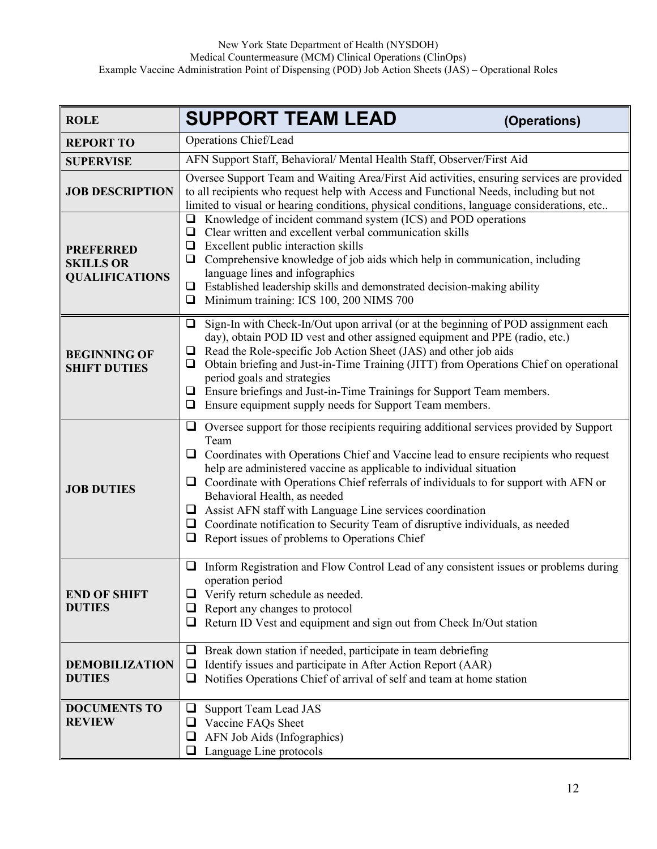| <b>ROLE</b>                                                   | <b>SUPPORT TEAM LEAD</b>                                                                                                                                                                                                                                                                                                                                                                                                                                                                                                                                                                                              | (Operations) |
|---------------------------------------------------------------|-----------------------------------------------------------------------------------------------------------------------------------------------------------------------------------------------------------------------------------------------------------------------------------------------------------------------------------------------------------------------------------------------------------------------------------------------------------------------------------------------------------------------------------------------------------------------------------------------------------------------|--------------|
| <b>REPORT TO</b>                                              | Operations Chief/Lead                                                                                                                                                                                                                                                                                                                                                                                                                                                                                                                                                                                                 |              |
| <b>SUPERVISE</b>                                              | AFN Support Staff, Behavioral/ Mental Health Staff, Observer/First Aid                                                                                                                                                                                                                                                                                                                                                                                                                                                                                                                                                |              |
| <b>JOB DESCRIPTION</b>                                        | Oversee Support Team and Waiting Area/First Aid activities, ensuring services are provided<br>to all recipients who request help with Access and Functional Needs, including but not<br>limited to visual or hearing conditions, physical conditions, language considerations, etc                                                                                                                                                                                                                                                                                                                                    |              |
| <b>PREFERRED</b><br><b>SKILLS OR</b><br><b>QUALIFICATIONS</b> | Knowledge of incident command system (ICS) and POD operations<br>$\Box$<br>Clear written and excellent verbal communication skills<br>$\Box$<br>Excellent public interaction skills<br>❏<br>Comprehensive knowledge of job aids which help in communication, including<br>⊔<br>language lines and infographics<br>Established leadership skills and demonstrated decision-making ability<br>□<br>Minimum training: ICS 100, 200 NIMS 700<br>$\Box$                                                                                                                                                                    |              |
| <b>BEGINNING OF</b><br><b>SHIFT DUTIES</b>                    | Sign-In with Check-In/Out upon arrival (or at the beginning of POD assignment each<br>⊔<br>day), obtain POD ID vest and other assigned equipment and PPE (radio, etc.)<br>Read the Role-specific Job Action Sheet (JAS) and other job aids<br>⊔<br>Obtain briefing and Just-in-Time Training (JITT) from Operations Chief on operational<br>u<br>period goals and strategies<br>Ensure briefings and Just-in-Time Trainings for Support Team members.<br>□<br>Ensure equipment supply needs for Support Team members.<br>❏                                                                                            |              |
| <b>JOB DUTIES</b>                                             | $\Box$ Oversee support for those recipients requiring additional services provided by Support<br>Team<br>$\Box$ Coordinates with Operations Chief and Vaccine lead to ensure recipients who request<br>help are administered vaccine as applicable to individual situation<br>Coordinate with Operations Chief referrals of individuals to for support with AFN or<br>⊔<br>Behavioral Health, as needed<br>Assist AFN staff with Language Line services coordination<br>⊔<br>Coordinate notification to Security Team of disruptive individuals, as needed<br>⊔<br>Report issues of problems to Operations Chief<br>❏ |              |
| <b>END OF SHIFT</b><br><b>DUTIES</b>                          | Inform Registration and Flow Control Lead of any consistent issues or problems during<br>⊔<br>operation period<br>Verify return schedule as needed.<br>Report any changes to protocol<br>Return ID Vest and equipment and sign out from Check In/Out station<br>❏                                                                                                                                                                                                                                                                                                                                                     |              |
| <b>DEMOBILIZATION</b><br><b>DUTIES</b>                        | Break down station if needed, participate in team debriefing<br>⊔<br>Identify issues and participate in After Action Report (AAR)<br>$\Box$<br>Notifies Operations Chief of arrival of self and team at home station<br>⊔                                                                                                                                                                                                                                                                                                                                                                                             |              |
| <b>DOCUMENTS TO</b><br><b>REVIEW</b>                          | Support Team Lead JAS<br>⊔<br>Vaccine FAQs Sheet<br>AFN Job Aids (Infographics)<br>Language Line protocols<br>⊔                                                                                                                                                                                                                                                                                                                                                                                                                                                                                                       |              |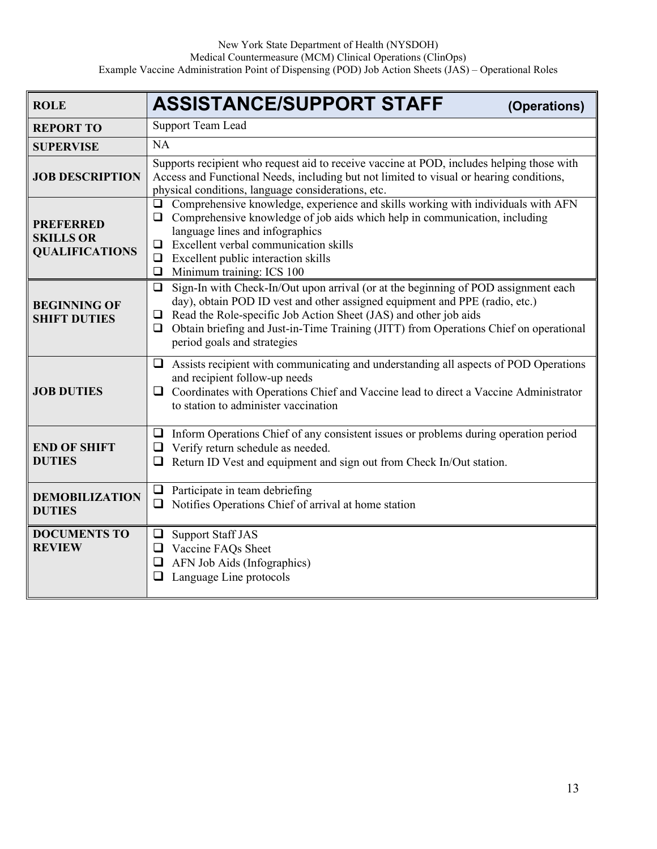| <b>ROLE</b>                                                   | <b>ASSISTANCE/SUPPORT STAFF</b><br>(Operations)                                                                                                                                                                                                                                                                                                                                   |  |
|---------------------------------------------------------------|-----------------------------------------------------------------------------------------------------------------------------------------------------------------------------------------------------------------------------------------------------------------------------------------------------------------------------------------------------------------------------------|--|
| <b>REPORT TO</b>                                              | Support Team Lead                                                                                                                                                                                                                                                                                                                                                                 |  |
| <b>SUPERVISE</b>                                              | <b>NA</b>                                                                                                                                                                                                                                                                                                                                                                         |  |
| <b>JOB DESCRIPTION</b>                                        | Supports recipient who request aid to receive vaccine at POD, includes helping those with<br>Access and Functional Needs, including but not limited to visual or hearing conditions,<br>physical conditions, language considerations, etc.                                                                                                                                        |  |
| <b>PREFERRED</b><br><b>SKILLS OR</b><br><b>QUALIFICATIONS</b> | $\Box$ Comprehensive knowledge, experience and skills working with individuals with AFN<br>$\Box$ Comprehensive knowledge of job aids which help in communication, including<br>language lines and infographics<br>$\Box$ Excellent verbal communication skills<br>$\Box$ Excellent public interaction skills<br>Minimum training: ICS 100<br>$\Box$                              |  |
| <b>BEGINNING OF</b><br><b>SHIFT DUTIES</b>                    | Sign-In with Check-In/Out upon arrival (or at the beginning of POD assignment each<br>❏<br>day), obtain POD ID vest and other assigned equipment and PPE (radio, etc.)<br>Read the Role-specific Job Action Sheet (JAS) and other job aids<br>❏<br>Obtain briefing and Just-in-Time Training (JITT) from Operations Chief on operational<br>$\Box$<br>period goals and strategies |  |
| <b>JOB DUTIES</b>                                             | $\Box$ Assists recipient with communicating and understanding all aspects of POD Operations<br>and recipient follow-up needs<br>$\Box$ Coordinates with Operations Chief and Vaccine lead to direct a Vaccine Administrator<br>to station to administer vaccination                                                                                                               |  |
| <b>END OF SHIFT</b><br><b>DUTIES</b>                          | $\Box$ Inform Operations Chief of any consistent issues or problems during operation period<br>Verify return schedule as needed.<br>❏<br>Return ID Vest and equipment and sign out from Check In/Out station.<br>❏                                                                                                                                                                |  |
| <b>DEMOBILIZATION</b><br><b>DUTIES</b>                        | Participate in team debriefing<br>$\Box$<br>Notifies Operations Chief of arrival at home station                                                                                                                                                                                                                                                                                  |  |
| <b>DOCUMENTS TO</b><br><b>REVIEW</b>                          | □ Support Staff JAS<br>Vaccine FAQs Sheet<br>AFN Job Aids (Infographics)<br>$\Box$<br>Language Line protocols<br>❏                                                                                                                                                                                                                                                                |  |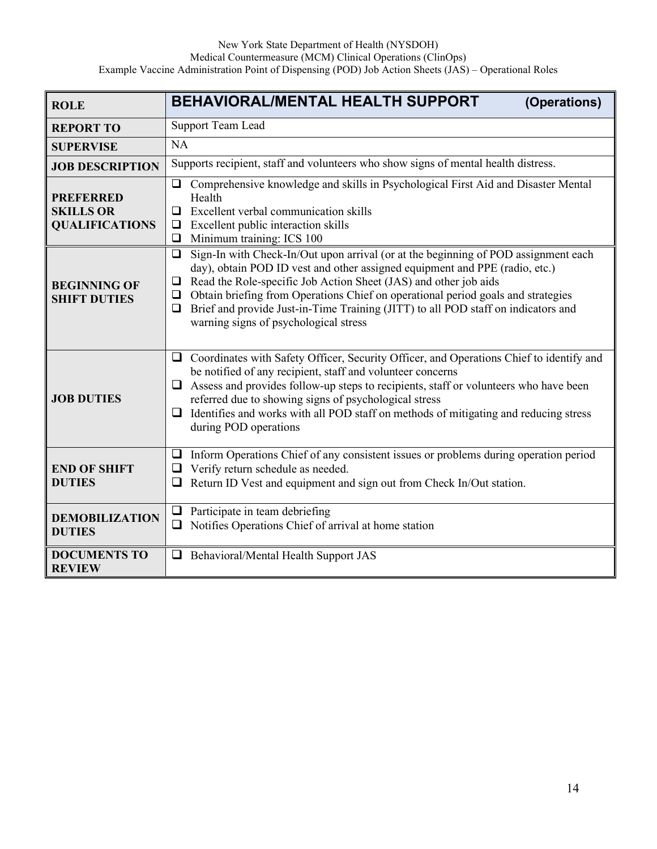| <b>ROLE</b>                                                   | <b>BEHAVIORAL/MENTAL HEALTH SUPPORT</b><br>(Operations)                                                                                                                                                                                                                                                                                                                                                                                                                          |
|---------------------------------------------------------------|----------------------------------------------------------------------------------------------------------------------------------------------------------------------------------------------------------------------------------------------------------------------------------------------------------------------------------------------------------------------------------------------------------------------------------------------------------------------------------|
| <b>REPORT TO</b>                                              | <b>Support Team Lead</b>                                                                                                                                                                                                                                                                                                                                                                                                                                                         |
| <b>SUPERVISE</b>                                              | NA                                                                                                                                                                                                                                                                                                                                                                                                                                                                               |
| <b>JOB DESCRIPTION</b>                                        | Supports recipient, staff and volunteers who show signs of mental health distress.                                                                                                                                                                                                                                                                                                                                                                                               |
| <b>PREFERRED</b><br><b>SKILLS OR</b><br><b>QUALIFICATIONS</b> | Comprehensive knowledge and skills in Psychological First Aid and Disaster Mental<br>□<br>Health<br>Excellent verbal communication skills<br>$\Box$<br>$\Box$ Excellent public interaction skills<br>Minimum training: ICS 100<br>$\Box$                                                                                                                                                                                                                                         |
| <b>BEGINNING OF</b><br><b>SHIFT DUTIES</b>                    | Sign-In with Check-In/Out upon arrival (or at the beginning of POD assignment each<br>□<br>day), obtain POD ID vest and other assigned equipment and PPE (radio, etc.)<br>Read the Role-specific Job Action Sheet (JAS) and other job aids<br>$\Box$<br>Obtain briefing from Operations Chief on operational period goals and strategies<br>❏<br>Brief and provide Just-in-Time Training (JITT) to all POD staff on indicators and<br>❏<br>warning signs of psychological stress |
| <b>JOB DUTIES</b>                                             | Coordinates with Safety Officer, Security Officer, and Operations Chief to identify and<br>$\Box$<br>be notified of any recipient, staff and volunteer concerns<br>Assess and provides follow-up steps to recipients, staff or volunteers who have been<br>referred due to showing signs of psychological stress<br>Identifies and works with all POD staff on methods of mitigating and reducing stress<br>$\Box$<br>during POD operations                                      |
| <b>END OF SHIFT</b><br><b>DUTIES</b>                          | Inform Operations Chief of any consistent issues or problems during operation period<br>$\Box$<br>$\Box$ Verify return schedule as needed.<br>Return ID Vest and equipment and sign out from Check In/Out station.                                                                                                                                                                                                                                                               |
| <b>DEMOBILIZATION</b><br><b>DUTIES</b>                        | Participate in team debriefing<br>$\Box$<br>Notifies Operations Chief of arrival at home station<br>□                                                                                                                                                                                                                                                                                                                                                                            |
| <b>DOCUMENTS TO</b><br><b>REVIEW</b>                          | Behavioral/Mental Health Support JAS                                                                                                                                                                                                                                                                                                                                                                                                                                             |